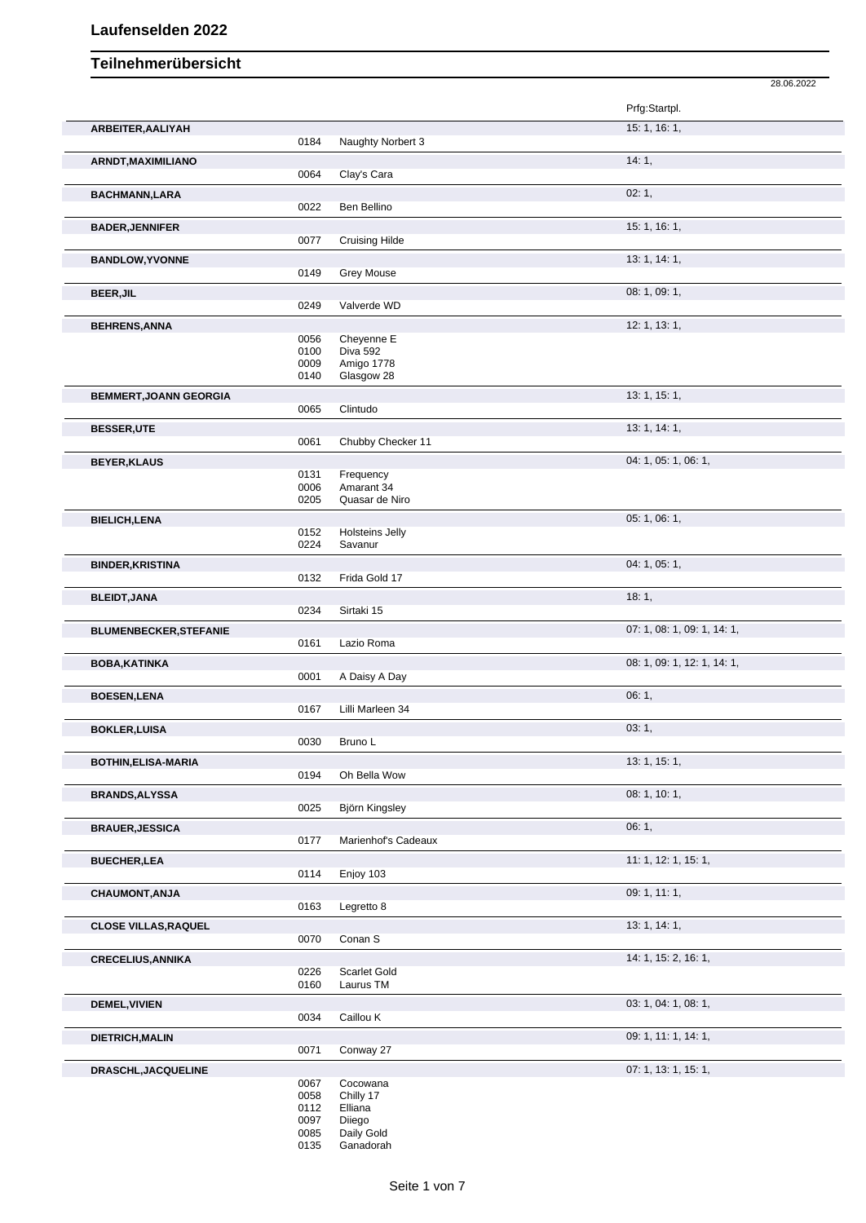|                               |              |                         | 28.06.2022                  |
|-------------------------------|--------------|-------------------------|-----------------------------|
|                               |              |                         | Prfg:Startpl.               |
| ARBEITER, AALIYAH             |              |                         | 15: 1, 16: 1,               |
|                               | 0184         | Naughty Norbert 3       |                             |
| ARNDT, MAXIMILIANO            |              |                         | 14:1,                       |
|                               | 0064         | Clay's Cara             |                             |
| <b>BACHMANN,LARA</b>          |              |                         | 02:1,                       |
|                               | 0022         | Ben Bellino             |                             |
| <b>BADER, JENNIFER</b>        |              |                         | 15: 1, 16: 1,               |
|                               | 0077         | <b>Cruising Hilde</b>   |                             |
| <b>BANDLOW, YVONNE</b>        |              |                         | 13: 1, 14: 1,               |
|                               | 0149         | Grey Mouse              |                             |
| <b>BEER, JIL</b>              |              |                         | 08: 1, 09: 1,               |
|                               | 0249         | Valverde WD             |                             |
| <b>BEHRENS, ANNA</b>          |              |                         | 12: 1, 13: 1,               |
|                               | 0056         | Cheyenne E              |                             |
|                               | 0100         | Diva 592                |                             |
|                               | 0009         | Amigo 1778              |                             |
|                               | 0140         | Glasgow 28              |                             |
| <b>BEMMERT, JOANN GEORGIA</b> | 0065         | Clintudo                | 13: 1, 15: 1,               |
|                               |              |                         |                             |
| <b>BESSER,UTE</b>             |              |                         | 13: 1, 14: 1,               |
|                               | 0061         | Chubby Checker 11       |                             |
| <b>BEYER, KLAUS</b>           |              |                         | 04: 1, 05: 1, 06: 1,        |
|                               | 0131<br>0006 | Frequency<br>Amarant 34 |                             |
|                               | 0205         | Quasar de Niro          |                             |
| <b>BIELICH, LENA</b>          |              |                         | 05: 1, 06: 1,               |
|                               | 0152         | <b>Holsteins Jelly</b>  |                             |
|                               | 0224         | Savanur                 |                             |
| <b>BINDER, KRISTINA</b>       |              |                         | 04: 1, 05: 1,               |
|                               | 0132         | Frida Gold 17           |                             |
| <b>BLEIDT, JANA</b>           |              |                         | 18:1,                       |
|                               | 0234         | Sirtaki 15              |                             |
| <b>BLUMENBECKER, STEFANIE</b> |              |                         | 07: 1, 08: 1, 09: 1, 14: 1, |
|                               | 0161         | Lazio Roma              |                             |
| <b>BOBA, KATINKA</b>          |              |                         | 08: 1, 09: 1, 12: 1, 14: 1, |
|                               | 0001         | A Daisy A Day           |                             |
| <b>BOESEN,LENA</b>            |              |                         | 06:1,                       |
|                               | 0167         | Lilli Marleen 34        |                             |
| <b>BOKLER, LUISA</b>          |              |                         | 03:1,                       |
|                               | 0030         | Bruno L                 |                             |
| <b>BOTHIN, ELISA-MARIA</b>    |              |                         | 13: 1, 15: 1,               |
|                               | 0194         | Oh Bella Wow            |                             |
| <b>BRANDS, ALYSSA</b>         |              |                         | 08:1, 10:1,                 |
|                               | 0025         | Björn Kingsley          |                             |
| <b>BRAUER, JESSICA</b>        |              |                         | 06:1,                       |
|                               | 0177         | Marienhof's Cadeaux     |                             |
| <b>BUECHER,LEA</b>            |              |                         | 11: 1, 12: 1, 15: 1,        |
|                               | 0114         | Enjoy 103               |                             |
| <b>CHAUMONT, ANJA</b>         |              |                         | 09: 1, 11: 1,               |
|                               | 0163         | Legretto 8              |                             |
| <b>CLOSE VILLAS, RAQUEL</b>   |              |                         | 13: 1, 14: 1,               |
|                               | 0070         | Conan S                 |                             |
| <b>CRECELIUS, ANNIKA</b>      |              |                         | 14: 1, 15: 2, 16: 1,        |
|                               | 0226         | Scarlet Gold            |                             |
|                               | 0160         | Laurus TM               |                             |
| <b>DEMEL, VIVIEN</b>          |              |                         | 03: 1, 04: 1, 08: 1,        |
|                               | 0034         | Caillou K               |                             |
| <b>DIETRICH, MALIN</b>        |              |                         | 09: 1, 11: 1, 14: 1,        |
|                               | 0071         | Conway 27               |                             |
| DRASCHL, JACQUELINE           |              |                         | 07: 1, 13: 1, 15: 1,        |
|                               | 0067         | Cocowana                |                             |
|                               | 0058         | Chilly 17               |                             |
|                               | 0112<br>0097 | Elliana<br>Diiego       |                             |
|                               | 0085         | Daily Gold              |                             |
|                               | 0135         | Ganadorah               |                             |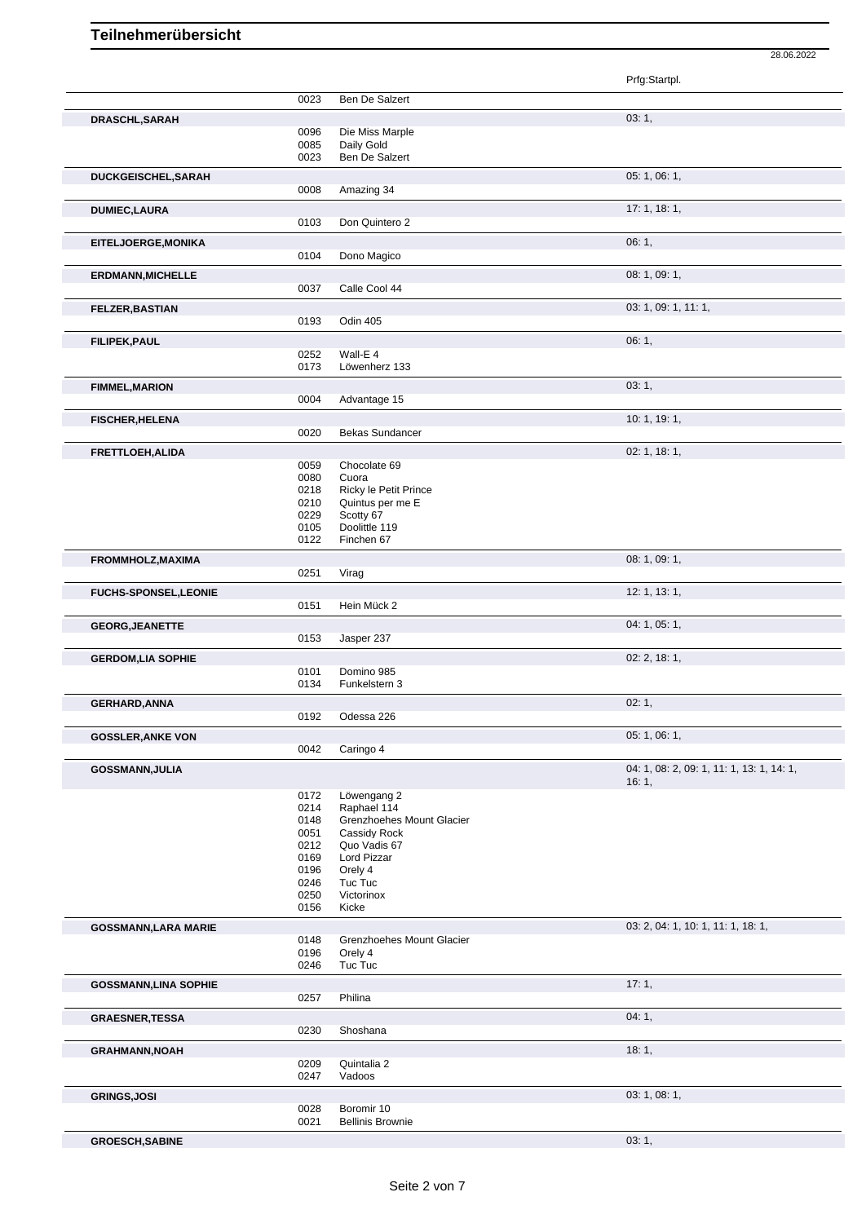|                              |      |                           | Prfg:Startpl.                             |
|------------------------------|------|---------------------------|-------------------------------------------|
|                              | 0023 | Ben De Salzert            |                                           |
| <b>DRASCHL, SARAH</b>        |      |                           | 03:1,                                     |
|                              | 0096 | Die Miss Marple           |                                           |
|                              | 0085 | Daily Gold                |                                           |
|                              | 0023 | Ben De Salzert            |                                           |
| DUCKGEISCHEL, SARAH          |      |                           | 05: 1, 06: 1,                             |
|                              | 0008 | Amazing 34                |                                           |
|                              |      |                           |                                           |
| <b>DUMIEC,LAURA</b>          |      |                           | 17:1, 18:1,                               |
|                              | 0103 | Don Quintero 2            |                                           |
| EITELJOERGE, MONIKA          |      |                           | 06:1,                                     |
|                              | 0104 | Dono Magico               |                                           |
|                              |      |                           | 08: 1, 09: 1,                             |
| <b>ERDMANN, MICHELLE</b>     | 0037 | Calle Cool 44             |                                           |
|                              |      |                           |                                           |
| <b>FELZER, BASTIAN</b>       |      |                           | 03: 1, 09: 1, 11: 1,                      |
|                              | 0193 | Odin 405                  |                                           |
| <b>FILIPEK, PAUL</b>         |      |                           | 06:1,                                     |
|                              | 0252 | Wall-E 4                  |                                           |
|                              | 0173 | Löwenherz 133             |                                           |
| <b>FIMMEL, MARION</b>        |      |                           | 03:1,                                     |
|                              | 0004 | Advantage 15              |                                           |
|                              |      |                           |                                           |
| <b>FISCHER, HELENA</b>       |      |                           | 10: 1, 19: 1,                             |
|                              | 0020 | Bekas Sundancer           |                                           |
| FRETTLOEH, ALIDA             |      |                           | 02: 1, 18: 1,                             |
|                              | 0059 | Chocolate 69              |                                           |
|                              | 0080 | Cuora                     |                                           |
|                              | 0218 | Ricky le Petit Prince     |                                           |
|                              | 0210 | Quintus per me E          |                                           |
|                              | 0229 | Scotty 67                 |                                           |
|                              | 0105 | Doolittle 119             |                                           |
|                              | 0122 | Finchen 67                |                                           |
| FROMMHOLZ, MAXIMA            |      |                           | 08: 1, 09: 1,                             |
|                              | 0251 | Virag                     |                                           |
|                              |      |                           |                                           |
| <b>FUCHS-SPONSEL,LEONIE</b>  |      |                           | 12: 1, 13: 1,                             |
|                              | 0151 | Hein Mück 2               |                                           |
| <b>GEORG, JEANETTE</b>       |      |                           | 04: 1, 05: 1,                             |
|                              | 0153 | Jasper 237                |                                           |
| <b>GERDOM, LIA SOPHIE</b>    |      |                           | 02: 2, 18: 1,                             |
|                              | 0101 | Domino 985                |                                           |
|                              | 0134 | Funkelstern 3             |                                           |
|                              |      |                           | 02:1,                                     |
| <b>GERHARD, ANNA</b>         | 0192 | Odessa 226                |                                           |
|                              |      |                           |                                           |
| <b>GOSSLER, ANKE VON</b>     |      |                           | 05: 1, 06: 1,                             |
|                              | 0042 | Caringo 4                 |                                           |
| <b>GOSSMANN, JULIA</b>       |      |                           | 04: 1, 08: 2, 09: 1, 11: 1, 13: 1, 14: 1, |
|                              |      |                           | 16:1,                                     |
|                              | 0172 | Löwengang 2               |                                           |
|                              | 0214 | Raphael 114               |                                           |
|                              | 0148 | Grenzhoehes Mount Glacier |                                           |
|                              | 0051 | Cassidy Rock              |                                           |
|                              | 0212 | Quo Vadis 67              |                                           |
|                              | 0169 | Lord Pizzar               |                                           |
|                              | 0196 | Orely 4                   |                                           |
|                              | 0246 | Tuc Tuc                   |                                           |
|                              | 0250 | Victorinox                |                                           |
|                              | 0156 | Kicke                     |                                           |
| <b>GOSSMANN, LARA MARIE</b>  |      |                           | 03: 2, 04: 1, 10: 1, 11: 1, 18: 1,        |
|                              | 0148 | Grenzhoehes Mount Glacier |                                           |
|                              | 0196 | Orely 4                   |                                           |
|                              | 0246 | Tuc Tuc                   |                                           |
| <b>GOSSMANN, LINA SOPHIE</b> |      |                           | 17:1,                                     |
|                              | 0257 | Philina                   |                                           |
|                              |      |                           |                                           |
| <b>GRAESNER, TESSA</b>       |      |                           | 04:1,                                     |
|                              | 0230 | Shoshana                  |                                           |
| <b>GRAHMANN, NOAH</b>        |      |                           | 18:1,                                     |
|                              | 0209 | Quintalia 2               |                                           |
|                              | 0247 | Vadoos                    |                                           |
|                              |      |                           | 03: 1, 08: 1,                             |
| <b>GRINGS, JOSI</b>          | 0028 | Boromir 10                |                                           |
|                              | 0021 | <b>Bellinis Brownie</b>   |                                           |
|                              |      |                           |                                           |
| <b>GROESCH, SABINE</b>       |      |                           | 03:1,                                     |

28.06.2022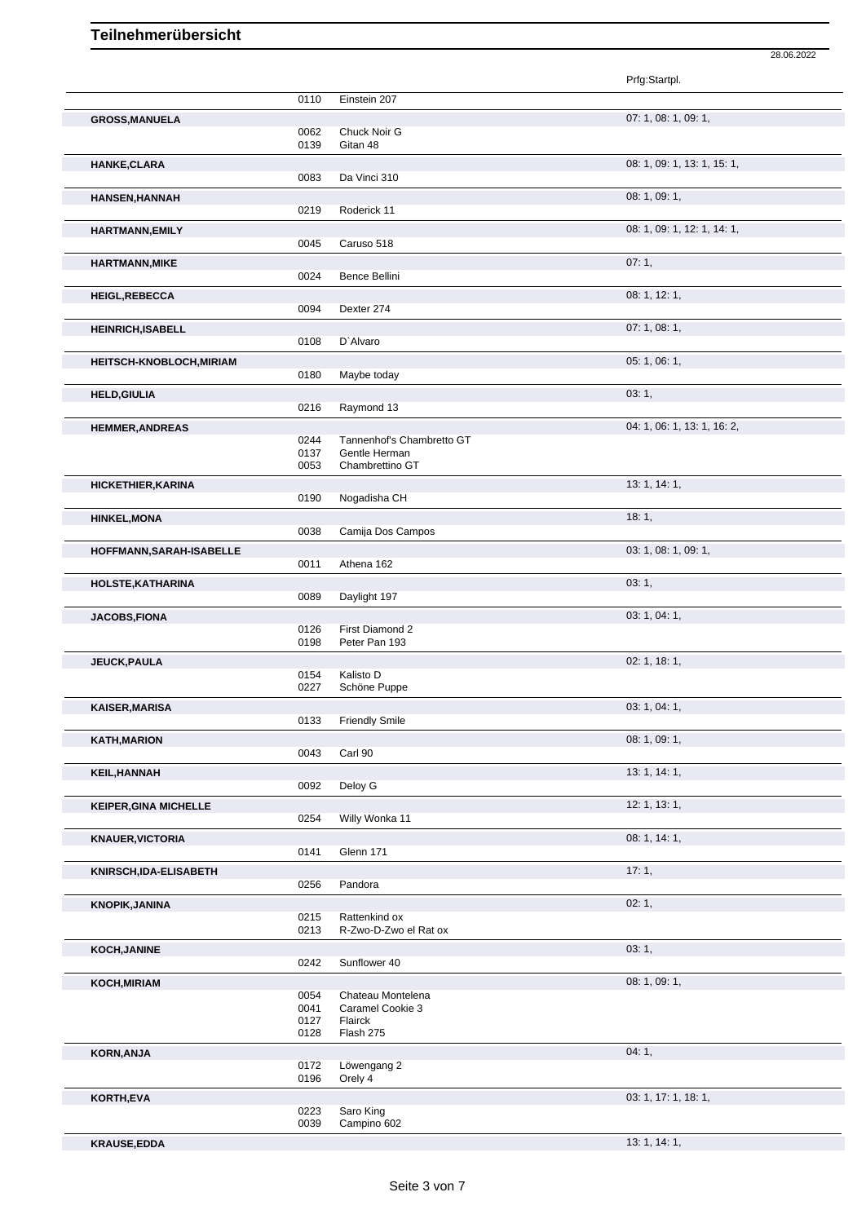|                                 |              |                                            | Prfg:Startpl.               |
|---------------------------------|--------------|--------------------------------------------|-----------------------------|
|                                 | 0110         | Einstein 207                               |                             |
| <b>GROSS, MANUELA</b>           |              | Chuck Noir G                               | 07: 1, 08: 1, 09: 1,        |
|                                 | 0062<br>0139 | Gitan 48                                   |                             |
| HANKE, CLARA                    |              |                                            | 08: 1, 09: 1, 13: 1, 15: 1, |
|                                 | 0083         | Da Vinci 310                               |                             |
| <b>HANSEN, HANNAH</b>           | 0219         | Roderick 11                                | 08:1,09:1,                  |
| <b>HARTMANN, EMILY</b>          |              |                                            | 08: 1, 09: 1, 12: 1, 14: 1, |
|                                 | 0045         | Caruso 518                                 |                             |
| <b>HARTMANN, MIKE</b>           | 0024         | Bence Bellini                              | 07:1,                       |
|                                 |              |                                            | 08: 1, 12: 1,               |
| <b>HEIGL,REBECCA</b>            | 0094         | Dexter 274                                 |                             |
| <b>HEINRICH, ISABELL</b>        |              |                                            | 07:1,08:1,                  |
|                                 | 0108         | D'Alvaro                                   |                             |
| <b>HEITSCH-KNOBLOCH, MIRIAM</b> | 0180         | Maybe today                                | 05:1,06:1,                  |
| <b>HELD, GIULIA</b>             |              |                                            | 03:1,                       |
|                                 | 0216         | Raymond 13                                 |                             |
| <b>HEMMER, ANDREAS</b>          |              |                                            | 04: 1, 06: 1, 13: 1, 16: 2, |
|                                 | 0244<br>0137 | Tannenhof's Chambretto GT<br>Gentle Herman |                             |
|                                 | 0053         | Chambrettino GT                            |                             |
| HICKETHIER, KARINA              | 0190         | Nogadisha CH                               | 13: 1, 14: 1,               |
|                                 |              |                                            | 18:1,                       |
| <b>HINKEL, MONA</b>             | 0038         | Camija Dos Campos                          |                             |
| HOFFMANN, SARAH-ISABELLE        |              |                                            | 03: 1, 08: 1, 09: 1,        |
|                                 | 0011         | Athena 162                                 |                             |
| HOLSTE, KATHARINA               | 0089         | Daylight 197                               | 03:1,                       |
| <b>JACOBS,FIONA</b>             |              |                                            | 03: 1, 04: 1,               |
|                                 | 0126         | First Diamond 2                            |                             |
|                                 | 0198         | Peter Pan 193                              |                             |
| <b>JEUCK, PAULA</b>             | 0154         | Kalisto D                                  | 02: 1, 18: 1,               |
|                                 | 0227         | Schöne Puppe                               |                             |
| <b>KAISER, MARISA</b>           | 0133         | <b>Friendly Smile</b>                      | 03: 1, 04: 1,               |
| <b>KATH, MARION</b>             |              |                                            | 08: 1, 09: 1,               |
|                                 | 0043         | Carl 90                                    |                             |
| <b>KEIL, HANNAH</b>             |              |                                            | 13: 1, 14: 1,               |
|                                 | 0092         | Deloy G                                    |                             |
| <b>KEIPER, GINA MICHELLE</b>    | 0254         | Willy Wonka 11                             | 12: 1, 13: 1,               |
| <b>KNAUER, VICTORIA</b>         |              |                                            | 08: 1, 14: 1,               |
|                                 | 0141         | Glenn 171                                  |                             |
| KNIRSCH, IDA-ELISABETH          | 0256         | Pandora                                    | 17:1,                       |
|                                 |              |                                            | 02:1,                       |
| <b>KNOPIK, JANINA</b>           | 0215         | Rattenkind ox                              |                             |
|                                 | 0213         | R-Zwo-D-Zwo el Rat ox                      |                             |
| <b>KOCH, JANINE</b>             | 0242         | Sunflower 40                               | 03:1,                       |
| KOCH, MIRIAM                    |              |                                            | 08: 1, 09: 1,               |
|                                 | 0054         | Chateau Montelena                          |                             |
|                                 | 0041<br>0127 | Caramel Cookie 3<br>Flairck                |                             |
|                                 | 0128         | Flash 275                                  |                             |
| <b>KORN, ANJA</b>               |              |                                            | 04:1,                       |
|                                 | 0172<br>0196 | Löwengang 2<br>Orely 4                     |                             |
| KORTH, EVA                      |              |                                            | 03: 1, 17: 1, 18: 1,        |
|                                 | 0223<br>0039 | Saro King<br>Campino 602                   |                             |
| <b>KRAUSE,EDDA</b>              |              |                                            | 13:1, 14:1,                 |
|                                 |              |                                            |                             |

28.06.2022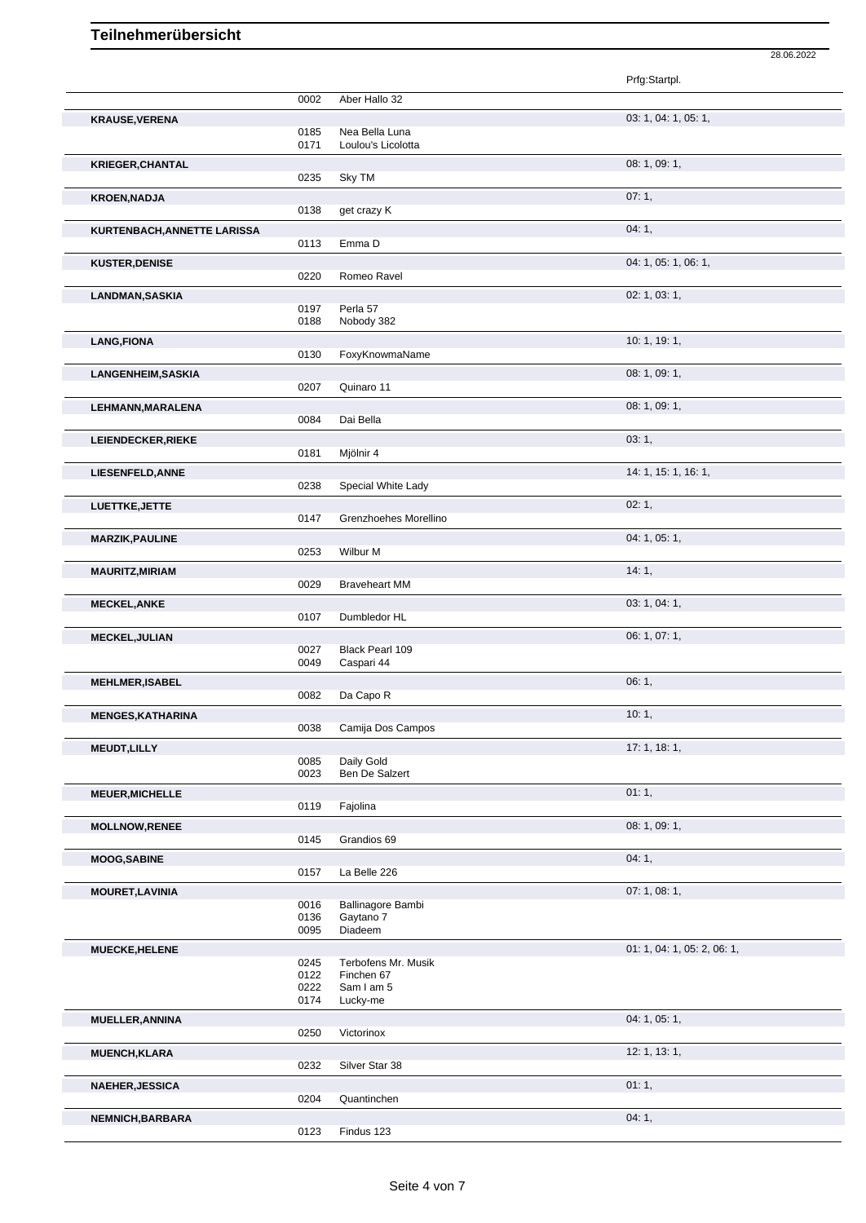|                             |              |                        | Prfg:Startpl.               |
|-----------------------------|--------------|------------------------|-----------------------------|
|                             | 0002         | Aber Hallo 32          |                             |
| <b>KRAUSE, VERENA</b>       |              |                        | 03: 1, 04: 1, 05: 1,        |
|                             | 0185         | Nea Bella Luna         |                             |
|                             | 0171         | Loulou's Licolotta     |                             |
| <b>KRIEGER, CHANTAL</b>     |              |                        | 08: 1, 09: 1,               |
|                             | 0235         | Sky TM                 |                             |
| <b>KROEN, NADJA</b>         |              |                        | 07:1,                       |
|                             | 0138         | get crazy K            |                             |
| KURTENBACH, ANNETTE LARISSA |              |                        | 04:1,                       |
|                             | 0113         | Emma D                 |                             |
| <b>KUSTER, DENISE</b>       |              |                        | 04: 1, 05: 1, 06: 1,        |
|                             | 0220         | Romeo Ravel            |                             |
| <b>LANDMAN, SASKIA</b>      |              |                        | 02: 1, 03: 1,               |
|                             | 0197<br>0188 | Perla 57<br>Nobody 382 |                             |
|                             |              |                        |                             |
| <b>LANG, FIONA</b>          | 0130         | FoxyKnowmaName         | 10: 1, 19: 1,               |
|                             |              |                        |                             |
| <b>LANGENHEIM, SASKIA</b>   | 0207         | Quinaro 11             | 08: 1, 09: 1,               |
|                             |              |                        | 08: 1, 09: 1,               |
| LEHMANN, MARALENA           | 0084         | Dai Bella              |                             |
| LEIENDECKER, RIEKE          |              |                        | 03:1,                       |
|                             | 0181         | Mjölnir 4              |                             |
| LIESENFELD, ANNE            |              |                        | 14: 1, 15: 1, 16: 1,        |
|                             | 0238         | Special White Lady     |                             |
| LUETTKE, JETTE              |              |                        | 02:1,                       |
|                             | 0147         | Grenzhoehes Morellino  |                             |
| <b>MARZIK, PAULINE</b>      |              |                        | 04: 1, 05: 1,               |
|                             | 0253         | Wilbur M               |                             |
| <b>MAURITZ, MIRIAM</b>      |              |                        | 14:1,                       |
|                             | 0029         | <b>Braveheart MM</b>   |                             |
| <b>MECKEL, ANKE</b>         |              |                        | 03: 1, 04: 1,               |
|                             | 0107         | Dumbledor HL           |                             |
| <b>MECKEL, JULIAN</b>       |              |                        | 06: 1, 07: 1,               |
|                             | 0027         | Black Pearl 109        |                             |
|                             | 0049         | Caspari 44             |                             |
| <b>MEHLMER, ISABEL</b>      |              |                        | 06:1,                       |
|                             | 0082         | Da Capo R              |                             |
| <b>MENGES, KATHARINA</b>    | 0038         | Camija Dos Campos      | 10:1,                       |
|                             |              |                        |                             |
| <b>MEUDT, LILLY</b>         | 0085         | Daily Gold             | 17:1, 18:1,                 |
|                             | 0023         | Ben De Salzert         |                             |
| <b>MEUER, MICHELLE</b>      |              |                        | 01:1,                       |
|                             | 0119         | Fajolina               |                             |
| <b>MOLLNOW, RENEE</b>       |              |                        | 08: 1, 09: 1,               |
|                             | 0145         | Grandios 69            |                             |
| <b>MOOG, SABINE</b>         |              |                        | 04:1,                       |
|                             | 0157         | La Belle 226           |                             |
| <b>MOURET, LAVINIA</b>      |              |                        | 07:1,08:1,                  |
|                             | 0016         | Ballinagore Bambi      |                             |
|                             | 0136         | Gaytano 7              |                             |
|                             | 0095         | Diadeem                |                             |
| <b>MUECKE, HELENE</b>       | 0245         | Terbofens Mr. Musik    | 01: 1, 04: 1, 05: 2, 06: 1, |
|                             | 0122         | Finchen 67             |                             |
|                             | 0222         | Sam I am 5             |                             |
|                             | 0174         | Lucky-me               |                             |
| MUELLER, ANNINA             |              |                        | 04: 1, 05: 1,               |
|                             | 0250         | Victorinox             |                             |
| <b>MUENCH, KLARA</b>        |              |                        | 12: 1, 13: 1,               |
|                             | 0232         | Silver Star 38         |                             |
| <b>NAEHER, JESSICA</b>      |              |                        | 01:1,                       |
|                             | 0204         | Quantinchen            |                             |
| NEMNICH, BARBARA            |              |                        | 04:1,                       |

28.06.2022

0123 Findus 123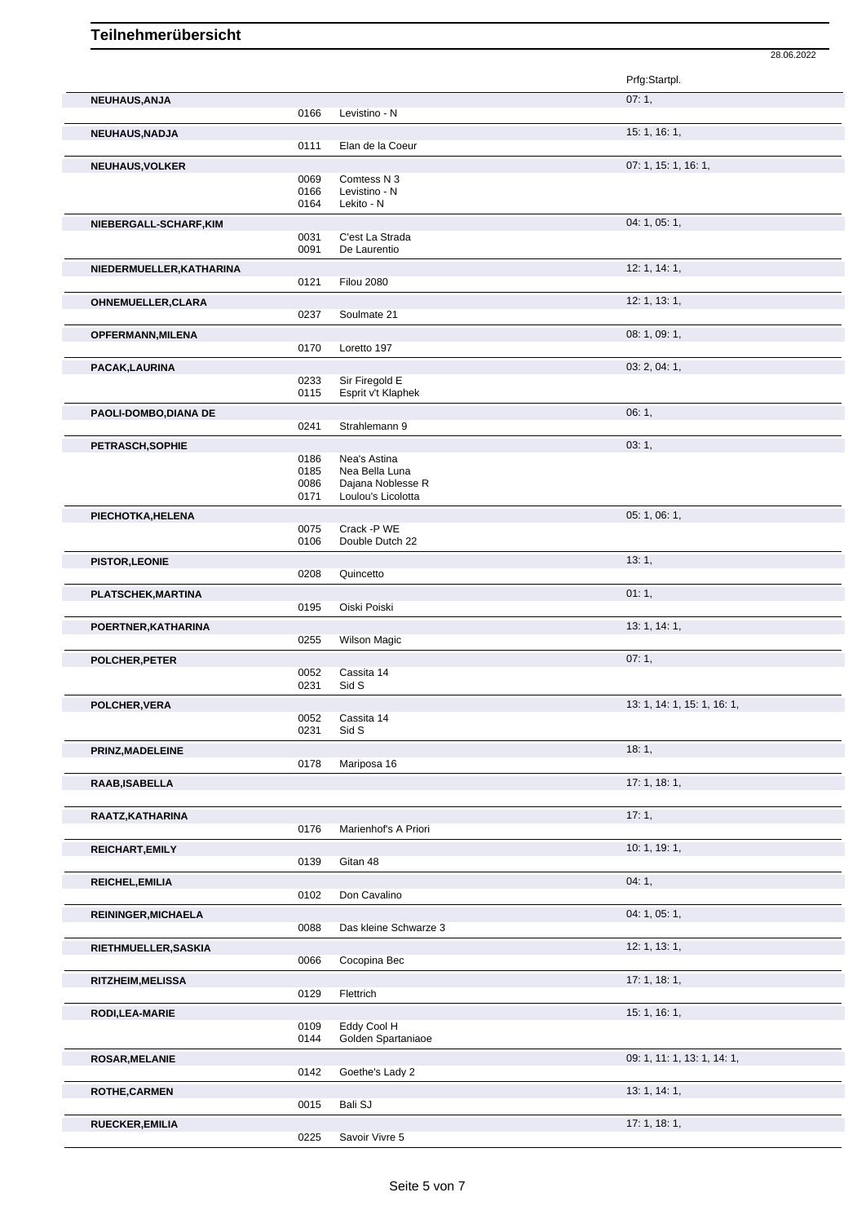|                          |              |                                     | 28.06.2022                  |
|--------------------------|--------------|-------------------------------------|-----------------------------|
|                          |              |                                     | Prfg:Startpl.               |
| NEUHAUS, ANJA            | 0166         | Levistino - N                       | 07:1,                       |
|                          |              |                                     | 15: 1, 16: 1,               |
| NEUHAUS, NADJA           | 0111         | Elan de la Coeur                    |                             |
| <b>NEUHAUS, VOLKER</b>   |              |                                     | 07: 1, 15: 1, 16: 1,        |
|                          | 0069         | Comtess N 3                         |                             |
|                          | 0166         | Levistino - N                       |                             |
|                          | 0164         | Lekito - N                          |                             |
| NIEBERGALL-SCHARF, KIM   |              |                                     | 04: 1, 05: 1,               |
|                          | 0031<br>0091 | C'est La Strada<br>De Laurentio     |                             |
| NIEDERMUELLER, KATHARINA |              |                                     | 12: 1, 14: 1,               |
|                          | 0121         | <b>Filou 2080</b>                   |                             |
| OHNEMUELLER, CLARA       |              |                                     | 12: 1, 13: 1,               |
|                          | 0237         | Soulmate 21                         |                             |
| OPFERMANN, MILENA        |              |                                     | 08: 1, 09: 1,               |
|                          | 0170         | Loretto 197                         |                             |
| PACAK, LAURINA           |              |                                     | 03: 2, 04: 1,               |
|                          | 0233         | Sir Firegold E                      |                             |
|                          | 0115         | Esprit v't Klaphek                  |                             |
| PAOLI-DOMBO, DIANA DE    |              |                                     | 06:1,                       |
|                          | 0241         | Strahlemann 9                       |                             |
| PETRASCH, SOPHIE         |              |                                     | 03:1,                       |
|                          | 0186         | Nea's Astina                        |                             |
|                          | 0185<br>0086 | Nea Bella Luna<br>Dajana Noblesse R |                             |
|                          | 0171         | Loulou's Licolotta                  |                             |
| PIECHOTKA, HELENA        |              |                                     | 05: 1, 06: 1,               |
|                          | 0075         | Crack -P WE                         |                             |
|                          | 0106         | Double Dutch 22                     |                             |
| <b>PISTOR, LEONIE</b>    |              |                                     | 13:1,                       |
|                          | 0208         | Quincetto                           |                             |
| PLATSCHEK, MARTINA       |              |                                     | 01:1,                       |
|                          | 0195         | Oiski Poiski                        |                             |
| POERTNER, KATHARINA      |              |                                     | 13: 1, 14: 1,               |
|                          | 0255         | Wilson Magic                        |                             |
| POLCHER, PETER           |              |                                     | 07:1,                       |
|                          | 0052         | Cassita 14                          |                             |
|                          | 0231         | Sid S                               |                             |
| POLCHER, VERA            |              |                                     | 13: 1, 14: 1, 15: 1, 16: 1, |
|                          | 0052<br>0231 | Cassita 14<br>Sid S                 |                             |
|                          |              |                                     | 18:1,                       |
| PRINZ, MADELEINE         | 0178         | Mariposa 16                         |                             |
| RAAB, ISABELLA           |              |                                     | 17:1, 18:1,                 |
|                          |              |                                     |                             |
| RAATZ, KATHARINA         |              |                                     | 17:1,                       |
|                          | 0176         | Marienhof's A Priori                |                             |
| <b>REICHART, EMILY</b>   |              |                                     | 10: 1, 19: 1,               |
|                          | 0139         | Gitan 48                            |                             |
| <b>REICHEL, EMILIA</b>   |              |                                     | 04:1,                       |
|                          | 0102         | Don Cavalino                        |                             |
| REININGER, MICHAELA      |              |                                     | 04: 1, 05: 1,               |
|                          | 0088         | Das kleine Schwarze 3               |                             |
| RIETHMUELLER, SASKIA     |              |                                     | 12: 1, 13: 1,               |
|                          | 0066         | Cocopina Bec                        |                             |
| RITZHEIM, MELISSA        |              |                                     | 17: 1, 18: 1,               |
|                          | 0129         | Flettrich                           |                             |
| RODI,LEA-MARIE           |              |                                     | 15:1, 16:1,                 |
|                          | 0109         | Eddy Cool H                         |                             |
|                          | 0144         | Golden Spartaniaoe                  |                             |
| <b>ROSAR, MELANIE</b>    |              |                                     | 09: 1, 11: 1, 13: 1, 14: 1, |
|                          | 0142         | Goethe's Lady 2                     |                             |
| <b>ROTHE, CARMEN</b>     |              |                                     | 13: 1, 14: 1,               |
|                          | 0015         | Bali SJ                             |                             |
| <b>RUECKER, EMILIA</b>   |              |                                     | 17: 1, 18: 1,               |
|                          | 0225         | Savoir Vivre 5                      |                             |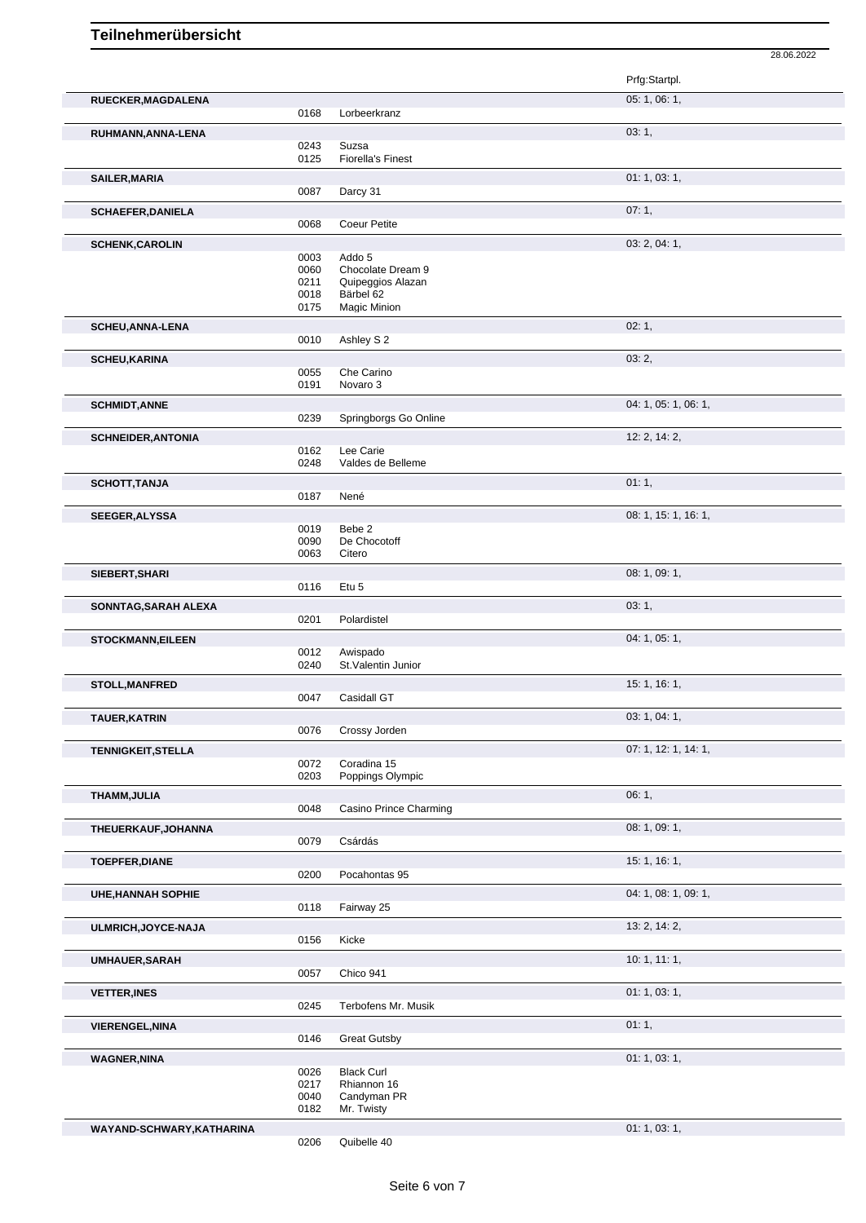28.06.2022

|                           |              |                                        | Prfg:Startpl.        |
|---------------------------|--------------|----------------------------------------|----------------------|
| RUECKER, MAGDALENA        | 0168         | Lorbeerkranz                           | 05: 1, 06: 1,        |
|                           |              |                                        |                      |
| RUHMANN, ANNA-LENA        | 0243         | Suzsa                                  | 03:1,                |
|                           | 0125         | <b>Fiorella's Finest</b>               |                      |
| SAILER, MARIA             |              |                                        | 01: 1, 03: 1,        |
|                           | 0087         | Darcy 31                               |                      |
| <b>SCHAEFER, DANIELA</b>  |              |                                        | 07:1,                |
|                           | 0068         | Coeur Petite                           |                      |
| <b>SCHENK, CAROLIN</b>    |              |                                        | 03: 2, 04: 1,        |
|                           | 0003         | Addo 5                                 |                      |
|                           | 0060<br>0211 | Chocolate Dream 9<br>Quipeggios Alazan |                      |
|                           | 0018         | Bärbel 62                              |                      |
|                           | 0175         | <b>Magic Minion</b>                    |                      |
| SCHEU, ANNA-LENA          |              |                                        | 02:1,                |
|                           | 0010         | Ashley S 2                             |                      |
| <b>SCHEU, KARINA</b>      |              |                                        | 03:2,                |
|                           | 0055         | Che Carino                             |                      |
|                           | 0191         | Novaro 3                               |                      |
| <b>SCHMIDT, ANNE</b>      | 0239         | Springborgs Go Online                  | 04: 1, 05: 1, 06: 1, |
|                           |              |                                        |                      |
| <b>SCHNEIDER, ANTONIA</b> | 0162         | Lee Carie                              | 12: 2, 14: 2,        |
|                           | 0248         | Valdes de Belleme                      |                      |
| <b>SCHOTT, TANJA</b>      |              |                                        | 01:1,                |
|                           | 0187         | Nené                                   |                      |
| <b>SEEGER, ALYSSA</b>     |              |                                        | 08: 1, 15: 1, 16: 1, |
|                           | 0019         | Bebe 2                                 |                      |
|                           | 0090<br>0063 | De Chocotoff<br>Citero                 |                      |
|                           |              |                                        |                      |
| SIEBERT, SHARI            | 0116         | Etu 5                                  | 08: 1, 09: 1,        |
|                           |              |                                        | 03:1,                |
| SONNTAG, SARAH ALEXA      | 0201         | Polardistel                            |                      |
| <b>STOCKMANN, EILEEN</b>  |              |                                        | 04: 1, 05: 1,        |
|                           | 0012         | Awispado                               |                      |
|                           | 0240         | St. Valentin Junior                    |                      |
| STOLL, MANFRED            |              |                                        | 15: 1, 16: 1,        |
|                           | 0047         | Casidall GT                            |                      |
| <b>TAUER, KATRIN</b>      |              |                                        | 03: 1, 04: 1,        |
|                           | 0076         | Crossy Jorden                          |                      |
| <b>TENNIGKEIT, STELLA</b> | 0072         | Coradina 15                            | 07: 1, 12: 1, 14: 1, |
|                           | 0203         | Poppings Olympic                       |                      |
| <b>THAMM, JULIA</b>       |              |                                        | 06:1,                |
|                           | 0048         | Casino Prince Charming                 |                      |
| THEUERKAUF, JOHANNA       |              |                                        | 08: 1, 09: 1,        |
|                           | 0079         | Csárdás                                |                      |
| <b>TOEPFER, DIANE</b>     |              |                                        | 15: 1, 16: 1,        |
|                           | 0200         | Pocahontas 95                          |                      |
| <b>UHE, HANNAH SOPHIE</b> |              |                                        | 04: 1, 08: 1, 09: 1, |
|                           | 0118         | Fairway 25                             |                      |
| ULMRICH, JOYCE-NAJA       |              |                                        | 13: 2, 14: 2,        |
|                           | 0156         | Kicke                                  |                      |
| <b>UMHAUER, SARAH</b>     |              |                                        | 10:1, 11:1,          |
|                           | 0057         | Chico 941                              |                      |
| <b>VETTER, INES</b>       |              |                                        | 01: 1, 03: 1,        |
|                           | 0245         | Terbofens Mr. Musik                    |                      |
| <b>VIERENGEL, NINA</b>    |              |                                        | 01:1,                |
|                           | 0146         | <b>Great Gutsby</b>                    |                      |
| <b>WAGNER, NINA</b>       | 0026         | <b>Black Curl</b>                      | 01: 1, 03: 1,        |
|                           | 0217         | Rhiannon 16                            |                      |
|                           | 0040         | Candyman PR                            |                      |
|                           | 0182         | Mr. Twisty                             |                      |
| WAYAND-SCHWARY, KATHARINA | 0206         | Quibelle 40                            | 01: 1, 03: 1,        |
|                           |              |                                        |                      |